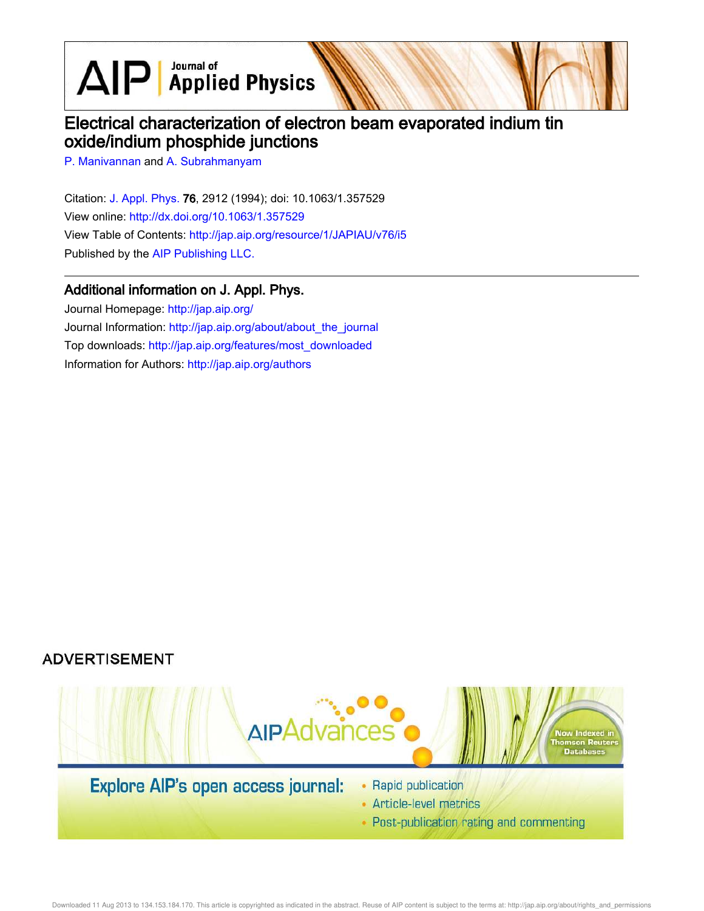$\text{AlP}$  Applied Physics

# Electrical characterization of electron beam evaporated indium tin oxide/indium phosphide junctions

P. Manivannan and A. Subrahmanyam

Citation: J. Appl. Phys. 76, 2912 (1994); doi: 10.1063/1.357529 View online: http://dx.doi.org/10.1063/1.357529 View Table of Contents: http://jap.aip.org/resource/1/JAPIAU/v76/i5 Published by the AIP Publishing LLC.

## Additional information on J. Appl. Phys.

Journal Homepage: http://jap.aip.org/ Journal Information: http://jap.aip.org/about/about\_the\_journal Top downloads: http://jap.aip.org/features/most\_downloaded Information for Authors: http://jap.aip.org/authors

## **ADVERTISEMENT**



• Post-publication rating and commenting

Downloaded 11 Aug 2013 to 134.153.184.170. This article is copyrighted as indicated in the abstract. Reuse of AIP content is subject to the terms at: http://jap.aip.org/about/rights\_and\_permissions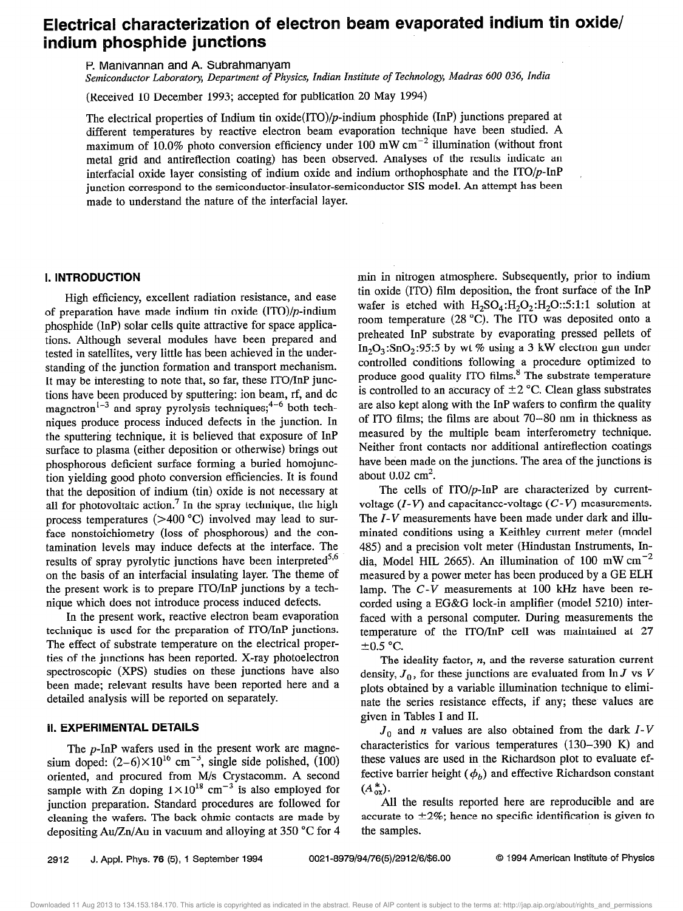## Electrical characterization of electron beam evaporated indium tin oxide/ indium phosphide junctions

P. Manivannan and A. Subrahmanyam

Semiconductor Laboratory, Department of Physics, Indian Institute of Technology, Madras 600 036, India

(Received 10 December 1993; accepted for publication 20 May 1994)

The electrical properties of Indium tin oxide(ITO)/ $p$ -indium phosphide (InP) junctions prepared at different temperatures by reactive electron beam evaporation technique have been studied. A maximum of 10.0% photo conversion efficiency under  $100 \text{ mW cm}^{-2}$  illumination (without front metal grid and antireflection coating) has been observed. Analyses of the results indicate an interfacial oxide layer consisting of indium oxide and indium orthophosphate and the  $ITO/p$ -InP junction correspond to the semiconductor-insulator-semiconductor SIS model. An attempt has been made to understand the nature of the interfacial layer,

### 1. INTRODUCTlON

High efficiency, excellent radiation resistance, and ease of preparation have made indium tin oxide  $(ITO)/p$ -indium phosphide (InP) solar cells quite attractive for space applications. Although several modules have been prepared and tested in satellites, very little has been achieved in the understanding of the junction formation and transport mechanism. It may be interesting to note that, so far, these ITO/InP junctions have been produced by sputtering: ion beam, rf, and dc magnetron<sup>1-3</sup> and spray pyrolysis techniques;<sup>4-6</sup> both techniques produce process induced defects in the junction. In the sputtering technique, it is believed that exposure of InP surface to plasma (either deposition or otherwise) brings out phosphorous deficient surface forming a buried homojunction yielding good photo conversion efficiencies. It is found that the deposition of indium (tin) oxide is not necessary at all for photovoltaic action.<sup>7</sup> In the spray technique, the high process temperatures  $(>400 °C)$  involved may lead to surface nonstoichiometry (loss of phosphorous) and the contamination levels may induce defects at the interface. The results of spray pyrolytic junctions have been interpreted<sup>5,6</sup> on the basis of an interfacial insulating layer. The theme of the present work is to prepare ITO/InP junctions by a technique which does not introduce process induced defects.

In the present work, reactive electron beam evaporation technique is used for the preparation of ITO/InP junctions. The effect of substrate temperature on the electrical properties of the junctions has been reported. X-ray photoelectron spectroscopic (XPS) studies on these junctions have also been made; relevant results have been reported here and a detailed analysis will be reported on separately.

### Il. EXPERlMENTAL DETAILS

The p-InP wafers used in the present work are magnesium doped:  $(2-6)\times10^{16}$  cm<sup>-3</sup>, single side polished, (100) oriented, and procured from M/s Crystacomm. A second sample with  $\overline{Z}_n$  doping  $1 \times 10^{18}$  cm<sup>-3</sup> is also employed for junction preparation. Standard procedures are followed for cleaning the wafers. The back ohmic contacts are made by depositing Au/Zn/Au in vacuum and alloying at 350  $^{\circ}$ C for 4 min in nitrogen atmosphere. Subsequently, prior to indium tin oxide (ITO) film deposition, the front surface of the TnP wafer is etched with  $H_2SO_4:H_2O_2:H_2O::5:1:1$  solution at room temperature (28 "C). The IT0 was deposited onto a preheated InP substrate by evaporating pressed pellets of  $In_2O_3:SnO_2:95:5$  by wt % using a 3 kW electron gun under controlled conditions following a procedure optimized to produce good quality ITO films. $8$  The substrate temperature is controlled to an accuracy of  $\pm 2$  °C. Clean glass substrates are also kept along with the InP wafers to confirm the quality of ITO films; the films are about  $70-80$  nm in thickness as measured by the multiple beam interferometry technique. Neither front contacts nor additional antireflection coatings have been made on the junctions. The area of the junctions is about  $0.02 \text{ cm}^2$ .

The cells of  $ITO/p$ -InP are characterized by currentvoltage  $(I-V)$  and capacitance-voltage  $(C-V)$  measurements. The  $I-V$  measurements have been made under dark and illuminated conditions using a Keithley current meter (model 485) and a precision volt meter (Hindustan Instruments, India, Model HIL 2665). An illumination of 100 mW  $cm^{-2}$ measured by a power meter has been produced by a GE ELH lamp. The C-V measurements at 100 kHz have been recorded using a EG&G lock-in amplifier (model 5210) interfaced with a personal computer. During measurements the temperature of the ITO/InP cell was maintained at 27  $\pm 0.5$  °C.

The ideality factor,  $n$ , and the reverse saturation current density,  $J_0$ , for these junctions are evaluated from  $\ln J$  vs V plots obtained by a variable illumination technique to eliminate the series resistance effects, if any; these values are given in Tables I and II.

 $J_0$  and *n* values are also obtained from the dark  $I-V$ characteristics for various temperatures (130-390 K) and these values are used in the Richardson plot to evaluate effective barrier height ( $\phi_b$ ) and effective Richardson constant  $(A_{\alpha x}^*).$ 

All the results reported here are reproducible and are accurate to  $\pm 2\%$ ; hence no specific identification is given to the samples.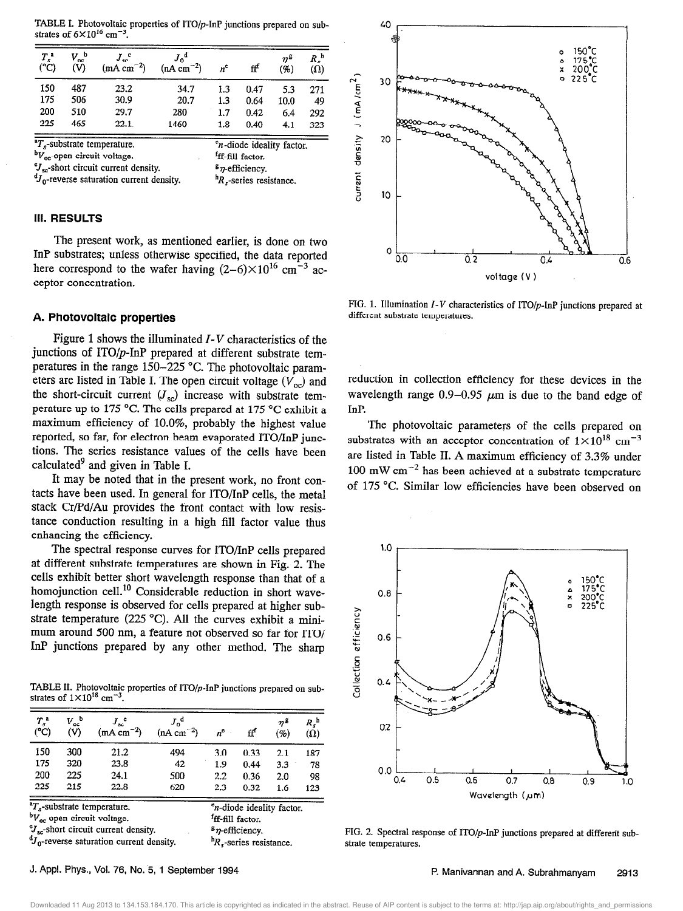TABLE I. Photovoltaic properties of ITO/p-InP junctions prepared on substrates of  $6 \times 10^{16}$  cm<sup>-3</sup>.

| $T_s$ <sup>a</sup><br>(°C) | $V_{\rm oc}^{\ \ b}$<br>(V) | $J_{\rm sc}^{\circ}$<br>$(mA cm^{-2})$ | $(nA cm^{-2})$ | $n^{\tt e}$ | ff   | $n^{\mathsf{g}}$<br>′%. | R:<br>(Ω) |
|----------------------------|-----------------------------|----------------------------------------|----------------|-------------|------|-------------------------|-----------|
| 150                        | 487                         | 23.2                                   | 34.7           | 1.3         | 0.47 | 5.3                     | 271       |
| 175                        | 506                         | 30.9                                   | 20.7           | 1.3         | 0.64 | 10.0                    | 49        |
| 200                        | 510                         | 29.7                                   | 280            | 1.7         | 0.42 | 6.4                     | 292       |
| 225                        | 465                         | 22.1                                   | 1460           | 1.8         | 0.40 | 4.1                     | 323       |

 $T_s$ -substrate temperature.  ${}^{\text{b}}V_{\text{oc}}$ -open circuit voltage.  $e_n$ -diode ideality factor. 'ff-fill factor.  $\sigma_{\rm sc}$ -short circuit current density.  ${}^dJ_0$ -reverse saturation current density.  $s_n$ -efficiency.  ${}^{\text{h}}R$ ,-series resistance.

### 111. RESULTS

The present work, as mentioned earlier, is done on two InP substrates; unless otherwise specified, the data reported here correspond to the wafer having  $(2-6)\times10^{16}$  cm<sup>-3</sup> acceptor concentration.

### A. Photovoltaic properties

Figure 1 shows the illuminated  $I-V$  characteristics of the junctions of ITO/p-InP prepared at different substrate temperatures in the range 150-225 "C. The photovoltaic parameters are listed in Table I. The open circuit voltage  $(V_{oc})$  and the short-circuit current  $(J_{\rm sc})$  increase with substrate temperature up to 175 "C. The cells prepared at 175 "C exhibit a maximum efficiency of lO.O%, probably the highest value reported, so far, for electron beam evaporated ITO/InP junctions. The series resistance values of the cells have been calculated $9$  and given in Table I.

It may be noted that in the present work, no front contacts have been used. In general for ITO/InP cells, the metal stack Cr/Pd/Au provides the front contact with low resistance conduction resulting in a high fill factor value thus enhancing the efficiency.

The spectral response curves for ITO/InP cells prepared at different substrate temperatures are shown in Fig. 2. The cells exhibit better short wavelength response than that of a homojunction cell.<sup>10</sup> Considerable reduction in short wavelength response is observed for cells prepared at higher substrate temperature (225 °C). All the curves exhibit a minimum around 500 nm, a feature not observed so far for ITO/ InP junctions prepared by any other method. The sharp

TABLE II. Photovoltaic properties of  $11O/p$ -InP junctions prepared on substrates of  $1 \times 10^{10}$  cm<sup>-1</sup>.

| $T_s^{\,a}$<br>(°C)                                                                                                                                                                                            | $V_{\rm oc}{}^{\rm b}$<br>(V) | $J_{\infty}$ <sup>c</sup><br>$(mA cm-2)$ | $J_{\rm n}^{\rm d}$<br>$(nA cm-2)$ | $n^{\rm c}$                                                                                                                         | ff   | $n^2$<br>(%) | $R_s^{\text{h}}$<br>(Ω) |
|----------------------------------------------------------------------------------------------------------------------------------------------------------------------------------------------------------------|-------------------------------|------------------------------------------|------------------------------------|-------------------------------------------------------------------------------------------------------------------------------------|------|--------------|-------------------------|
| 150                                                                                                                                                                                                            | 300                           | 21.2                                     | 494                                | 3.0                                                                                                                                 | 0.33 | 2.1          | 187                     |
| 175                                                                                                                                                                                                            | 320                           | 23.8                                     | 42                                 | 1.9                                                                                                                                 | 0.44 | 3.3          | 78                      |
| 200                                                                                                                                                                                                            | 225                           | 24.1                                     | 500                                | 2.2                                                                                                                                 | 0.36 | 2.0          | 98                      |
| 225                                                                                                                                                                                                            | 215                           | 22.8                                     | 620                                | 2.3                                                                                                                                 | 0.32 | 1.6          | 123                     |
| ${}^{\text{a}}T_{s}$ -substrate temperature.<br>bV <sub>oc</sub> -open circuit voltage.<br>Y <sub>sc</sub> -short circuit current density.<br><sup>d</sup> J <sub>n</sub> -reverse saturation current density. |                               |                                          |                                    | <sup>e</sup> n-diode ideality factor.<br><sup>f</sup> ff-fill factor.<br>$s$ n-efficiency.<br>${}^{\text{h}}R$ , series resistance. |      |              |                         |



FIG. 1. Illumination  $I-V$  characteristics of ITO/p-InP junctions prepared at different substrate temperatures.

reduction in collection efficiency for these devices in the wavelength range  $0.9-0.95 \mu m$  is due to the band edge of InP.

The photovoltaic parameters of the cells prepared on substrates with an acceptor concentration of  $1\times10^{18}$  cm<sup>-3</sup> are listed in Table II. A maximum efficiency of 3.3% under 100 mW  $cm^{-2}$  has been achieved at a substrate temperature of 175 "C. Similar low efficiencies have been observed on



FIG. 2. Spectral response of ITO/p-InP junctions prepared at different substrate temperatures.

J. Appl. Phys., Vol. 70, No. 5, 1 September 1994

P. Manivannan and A. Subrahmanyam 2913

Downloaded 11 Aug 2013 to 134.153.184.170. This article is copyrighted as indicated in the abstract. Reuse of AIP content is subject to the terms at: http://jap.aip.org/about/rights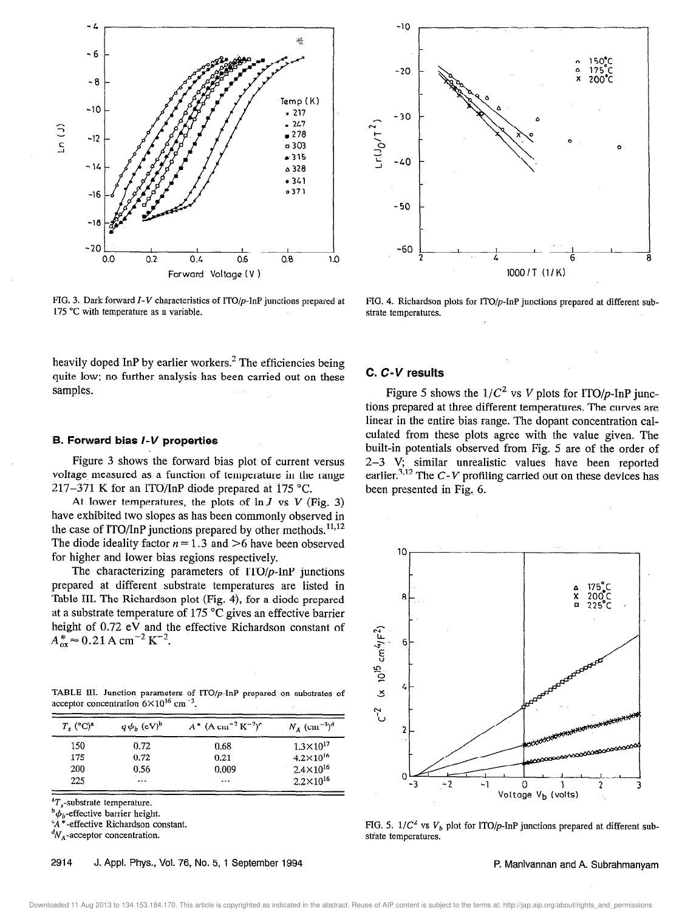

 $-10$  $-20$  $-30$  $-110^{11}$  $-40$  $-50$ -60 6 1000/T (l/K)

FIG. 3. Dark forward I-V characteristics of ITO/p-InP junctions prepared at FIG. 4. Richardson plots for ITO/p-InP junctions prepared at different sub-175 °C with temperature as a variable.  $\blacksquare$  strate temperatures.

heavily doped InP by earlier workers.<sup>2</sup> The efficiencies being quite low; no further analysis has been carried out on these samples.

### 5. Forward bias I-V properties

Figure 3 shows the forward bias plot of current versus voltage measured as a function of temperature in the range 217-371 K for an ITO/InP diode prepared at 175 °C.

At lower temperatures, the plots of  $\ln J$  vs  $V$  (Fig. 3) have exhibited two slopes as has been commonly observed in the case of  $ITO/InP$  junctions prepared by other methods.<sup>11,12</sup> The diode ideality factor  $n = 1.3$  and  $>6$  have been observed for higher and lower bias regions respectively.

The characterizing parameters of  $ITO/p$ -InP junctions prepared at different substrate temperatures are listed in Table III. The Richardson plot (Fig. 4), for a diode prepared at a substrate temperature of 175 "C gives an effective barrier height of 0.72 eV and the effective Richardson constant of  $A_{ox}^{*} \approx 0.21 \text{ A cm}^{-2} \text{ K}^{-2}$ .

TABLE III. Junction parameters of  $ITO/p$ -InP prepared on substrates of acceptor concentration  $6 \times 10^{16}$  cm<sup>-3</sup>.

| $T_{\rm s}$ (°C) <sup>a</sup> | $A^*$ (A cm <sup>-2</sup> K <sup>-2</sup> ) <sup>c</sup><br>$q\phi_b$ (cV) <sup>b</sup> |       | $N_A$ (cm <sup>-3</sup> ) <sup>d</sup> |  |
|-------------------------------|-----------------------------------------------------------------------------------------|-------|----------------------------------------|--|
| 150                           | 0.72                                                                                    | 0.68  | $1.3 \times 10^{17}$                   |  |
| 175                           | 0.72                                                                                    | 0.21  | $4.2 \times 10^{16}$                   |  |
| 200                           | 0.56                                                                                    | 0.009 | $2.4 \times 10^{16}$                   |  |
| 225                           |                                                                                         |       | $2.2 \times 10^{16}$                   |  |

 ${}^{\text{a}}T_{s}$ -substrate temperature.

 ${}^{\text{b}}\phi$ <sub>b</sub>-effective barrier height.

 $*$ -effective Richardson constant.

 ${}^dN_A$ -acceptor concentration.

### C. C-V results

Figure 5 shows the  $1/C^2$  vs V plots for ITO/p-InP junctions prepared at three different temperatures. The curves are linear in the entire bias range. The dopant concentration calculated from these plots agree with the value given. The built-in potentials observed from Fig. 5 are of the order of 2-3 V, similar unrealistic values have been reported earlier.<sup>3,12</sup> The C-V profiling carried out on these devices has been presented in Fig, 6.



FIG. 5.  $1/C^2$  vs  $V_b$  plot for ITO/p-InP junctions prepared at different substrate temperatures.

2914 J. Appl. Phys., Vol. 76, No. 5, 1 September 1994 **P. Manivannan and A. Subrahmanyam**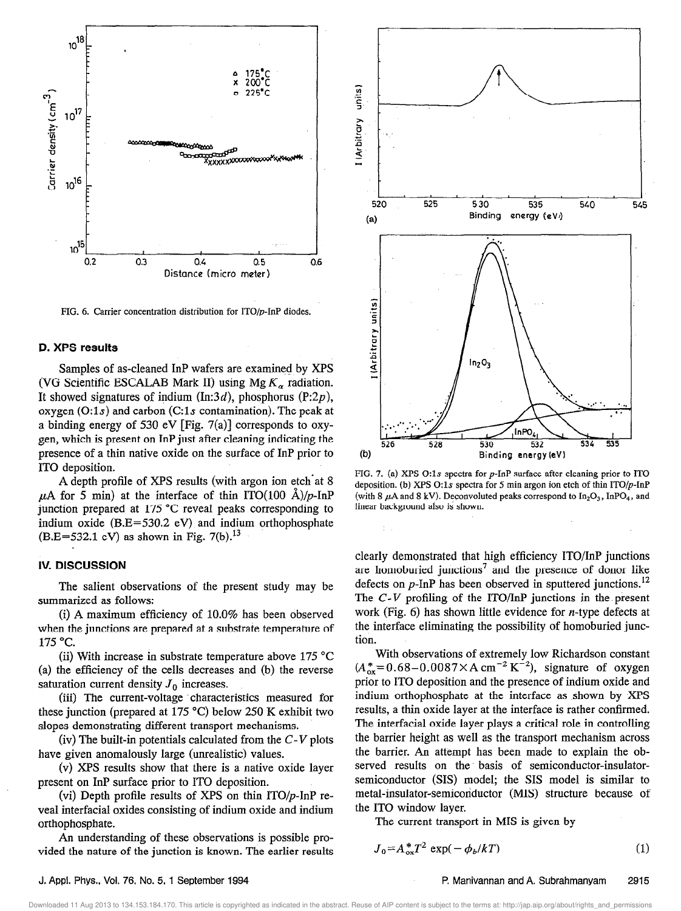

FIG. 6. Carrier concentration distribution for ITO/p-InP diodes,

### D. XPS results

Samples of as-cleaned InP wafers are examined by XPS (VG Scientific ESCALAB Mark II) using Mg  $K_{\alpha}$  radiation. It showed signatures of indium (In:3d), phosphorus (P:2p), oxygen  $(0:1s)$  and carbon  $(C:1s)$  contamination). The peak at a binding energy of 530 eV [Fig.  $7(a)$ ] corresponds to oxygen, which is present on InP just after cleaning indicating the presence of a thin native oxide on the surface of InP prior to IT0 deposition.

A depth profile of XPS results (with argon ion etch'at 8  $\mu$ A for 5 min) at the interface of thin ITO(100 Å)/p-InP junction prepared at 175 °C reveal peaks corresponding to indium oxide  $(B.E=530.2 eV)$  and indium orthophosphate  $(B.E=532.1 eV)$  as shown in Fig. 7(b).<sup>13</sup>

### IV. DISCUSSION

The salient observations of the present study may be summarized as follows:

(i) A maximum efficiency of 10.0% has been observed when the junctions are prepared at a substrate temperature of 175 "C.

(ii) With increase in substrate temperature above  $175 \text{ °C}$ (a) the efficiency of the cells decreases and (b) the reverse saturation current density  $J_0$  increases.

(iii) The current-voltage characteristics measured for these junction (prepared at 175 °C) below 250 K exhibit two slopes demonstrating different transport mechanisms.

(iv) The built-in potentials calculated from the  $C-V$  plots have given anomalously large (unrealistic) values.

(v) XPS results show that there is a native oxide layer present on InP surface prior to IT0 deposition.

(vi) Depth profile results of XPS on thin  $ITO/p$ -InP reveal interfacial oxides consisting of indium oxide and indium orthophosphate.

An understanding of these observations is possible provided the nature of the junction is known. The earlier results



FIG. 7. (a) XPS O:1s spectra for  $p$ -InP surface after cleaning prior to ITO deposition. (b) XPS 0:1s spectra for 5 min argon ion etch of thin  $ITO/p$ -InP (with 8  $\mu$ A and 8 kV). Deconvoluted peaks correspond to In<sub>2</sub>O<sub>3</sub>, InPO<sub>4</sub>, and linear background also is shown.

clearly demonstrated that high efficiency ITO/InP junctions are homoburied junctions<sup>7</sup> and the presence of donor like defects on  $p$ -InP has been observed in sputtered junctions.<sup>12</sup> The  $C-V$  profiling of the ITO/InP junctions in the present work (Fig.  $6$ ) has shown little evidence for *n*-type defects at the interface eliminating the possibility of homoburied junction.

With observations of extremely low Richardson constant  $(A_{ox}^* = 0.68 - 0.0087 \times A \text{ cm}^{-2} \text{ K}^{-2}),$  signature of oxygen prior to IT0 deposition and the presence of indium oxide and indium orthophosphate at the interface as shown by XPS results, a thin oxide layer at the interface is rather confirmed. The interfacial oxide layer plays a critical role in controlling the barrier height as well as the transport mechanism across the barrier. An attempt has been made to explain the observed results on the. basis of semiconductor-insulatorsemiconductor (SIS) model; the SIS model is similar to metal-insulator-semiconductor (MIS) structure because of the IT0 window layer.

The current transport in MIS is given by

$$
J_0 = A_{\text{ox}}^* T^2 \exp(-\phi_b/kT) \tag{1}
$$

### J. Appl. Phys., Vol. 76, No. 5, 1 September 1994 P. Manivannan and A. Subrahmanyam 2915

he terms at: http://jap.aip.org/about/rights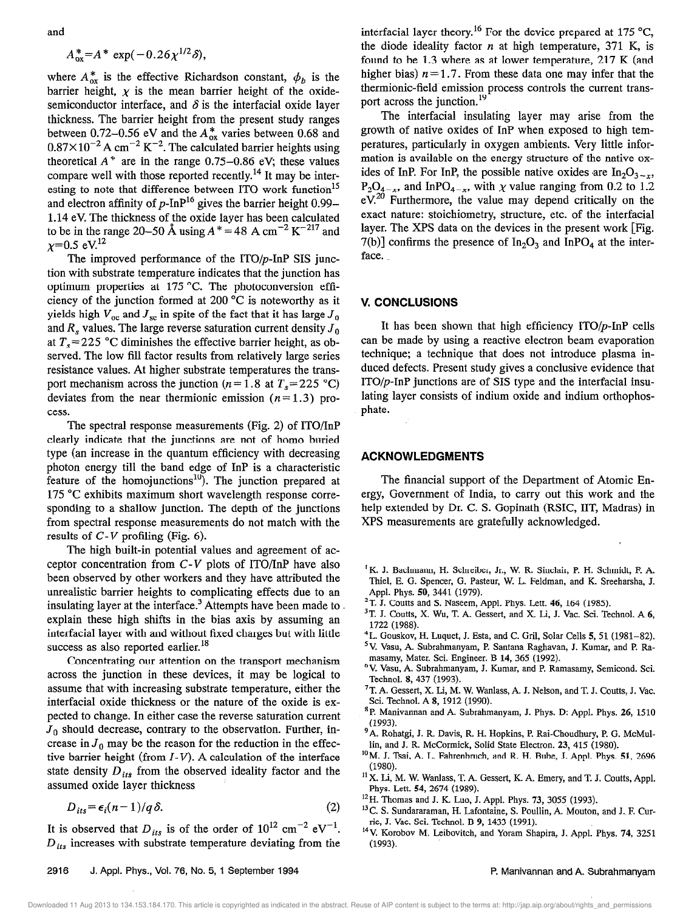and

$$
A_{\rm ox}^* = A^* \exp(-0.26 \chi^{1/2} \delta),
$$

where  $A_{ox}^*$  is the effective Richardson constant,  $\phi_b$  is the barrier height,  $\chi$  is the mean barrier height of the oxidesemiconductor interface, and  $\delta$  is the interfacial oxide layer thickness. The barrier height from the present study ranges between 0.72-0.56 eV and the  $A_{ox}^*$  varies between 0.68 and  $0.87\times10^{-2}$  A cm<sup>-2</sup> K<sup>-2</sup>. The calculated barrier heights using theoretical  $A^*$  are in the range 0.75-0.86 eV; these values compare well with those reported recently.<sup>14</sup> It may be interesting to note that difference between ITO work function<sup>15</sup> and electron affinity of  $p$ -InP<sup>16</sup> gives the barrier height 0.99– 1.14 eV. The thickness of the oxide layer has been calculated to be in the range 20–50 Å using  $A^* = 48$  A cm<sup>-2</sup> K<sup>-217</sup> and  $x=0.5$  eV.<sup>12</sup>

The improved performance of the  $ITO/p$ -InP SIS junction with substrate temperature indicates that the junction has optimum properties at 175 "C. The photoconversion efficiency of the junction formed at 200 "C is noteworthy as it yields high  $V_{\text{nc}}$  and  $J_{\text{sc}}$  in spite of the fact that it has large  $J_0$ and  $R_s$  values. The large reverse saturation current density  $J_0$ at  $T_s$ =225 °C diminishes the effective barrier height, as observed. The low fill factor results from relatively large series resistance values. At higher substrate temperatures the transport mechanism across the junction ( $n=1.8$  at  $T_s=225$  °C) deviates from the near thermionic emission  $(n=1.3)$  process.

The spectral response measurements (Fig. 2) of  $ITO/InP$ clearly indicate that the junctions are not of homo buried type (an increase in the quantum efficiency with decreasing photon energy till the band edge of InP is a characteristic feature of the homojunctions<sup>10</sup>). The junction prepared at 175 "C exhibits maximum short wavelength response corresponding to a shallow junction. The depth of the junctions from spectral response measurements do not match with the results of  $C-V$  profiling (Fig. 6).

The high built-in potential values and agreement of acceptor concentration from  $C-V$  plots of ITO/InP have also been observed by other workers and they have attributed the unrealistic barrier heights to complicating effects due to an insulating layer at the interface.<sup>3</sup> Attempts have been made to explain these high shifts in the bias axis by assuming an interfacial layer with and without fixed charges but with little success as also reported earlier.<sup>18</sup>

Concentrating our attention on the transport mechanism across the junction in these devices, it may be logical to assume that with increasing substrate temperature, either the interfacial oxide thickness or the nature of the oxide is expected to change. In either case the reverse saturation current  $J_0$  should decrease, contrary to the observation. Further, increase in  $J_0$  may be the reason for the reduction in the effective barrier height (from  $I-V$ ). A calculation of the interface state density  $D_{its}$  from the observed ideality factor and the assumed oxide layer thickness

$$
D_{its} = \epsilon_i (n-1)/q \delta. \tag{2}
$$

It is observed that  $D_{its}$  is of the order of  $10^{12}$  cm<sup>-2</sup> eV<sup>-1</sup>.  $D_{its}$  increases with substrate temperature deviating from the interfacial layer theory.<sup>16</sup> For the device prepared at 175 °C, the diode ideality factor  $n$  at high temperature, 371 K, is found to be 1.3 where as at lower temperature, 217 K (and higher bias)  $n=1.7$ . From these data one may infer that the thermionic-field emission process controls the current transport across the junction.<sup>19</sup>

The interfacial insulating layer may arise from the growth of native oxides of InP when exposed to high temperatures, particularly in oxygen ambients. Very little information is available on the energy structure of the native oxides of InP. For InP, the possible native oxides are  $In_2O_{3-x}$ ,  $P_2O_{4-x}$ , and InPO<sub>4-x</sub>, with  $\chi$  value ranging from 0.2 to 1.2  $eV<sup>20</sup>$  Furthermore, the value may depend critically on the exact nature: stoichiometry, structure, etc. of the interfacial layer. The XPS data on the devices in the present work [Fig.  $7(b)$ ] confirms the presence of  $In_2O_3$  and  $InPO_4$  at the interface.

### V. CONCLUSIONS

It has been shown that high efficiency  $ITO/p-InP$  cells can be made by using a reactive electron beam evaporation technique; a technique that does not introduce plasma induced defects. Present study gives a conclusive evidence that  $ITO/p$ -InP junctions are of SIS type and the interfacial insulating layer consists of indium oxide and indium orthophosphate.

### ACKNOWLEDGMENTS

The financial support of the Department of Atomic Energy, Government of India, to carry out this work and the help extended by Dr. C. S. Gopinath (RSIC, IIT, Madras) in XPS measurements are gratefully acknowledged.

- <sup>1</sup>K. J. Bachmann, H. Schreiber, Jr., W. R. Sinclair, P. H. Schmidt, F. A. Thiel, E. G. Spencer, G. Pasteur, W. L. Feldman, and K. Sreeharsha, J. Appl. Phys. 50, 3441 (1979).
- $2T.$  J. Coutts and S. Naseem, Appl. Phys. Lett. 46, 164 (1985).
- $3$ T. J. Coutts, X. Wu, T. A. Gessert, and X. Li, J. Vac. Sci. Technol. A  $6$ , 1722 (1988).
- $4$ L. Gouskov, H. Luquet, J. Esta, and C. Gril, Solar Cells 5, 51 (1981-82).
- 'V. Vasu, A. Subrahmanyam, P. Santana Raghavan, J. Kumar, and P. Ramasamy, Mater. Sci. Engineer. B 14, 365 (1992).
- 'V. Vasu, A. Subrahmanyam, J. Kumar, and P. Ramasamy, Semicond. Sci. Technol. 8, 437 (1993).
- $7$ T. A. Gessert, X. Li, M. W. Wanlass, A. J. Nelson, and T. J. Coutts, J. Vac. Sci. Technol. A 8, 1912 (1990).
- \*P. Manivannan and A. Subrahmanyam, J. Phys. D: Appl. Phys. 26, 1510 (1993).
- <sup>9</sup> A. Rohatgi, J. R. Davis, R. H. Hopkins, P. Rai-Choudhury, P. G. McMullin, and J. R. McCormick, Solid State Electron. 23, 415 (1980).
- <sup>10</sup> M. J. Tsai, A. L. Fahrenbruch, and R. H. Bube, J. Appl. Phys. 51, 2696 (1980).
- <sup>11</sup> X. Li, M. W. Wanlass, T. A. Gessert, K. A. Emery, and T. J. Coutts, Appl. Phys. Lett. 54, 2674 (1989).
- <sup>12</sup> H. Thomas and J. K. Luo, J. Appl. Phys. 73, 3055 (1993).
- <sup>13</sup> C. S. Sundararaman, H. Lafontaine, S. Poullin, A. Mouton, and J. F. Currie, J. Vac. Sci. Technol. B 9, 1433 (1991).
- <sup>14</sup> V. Korobov M. Leibovitch, and Yoram Shapira, J. Appl. Phys. 74, 3251  $(1993)$ .

### 2916 J. Appl. Phys., Vol. 76, No. 5, 1 September 1994 **P. Manivannan and A. Subrahmanyam**